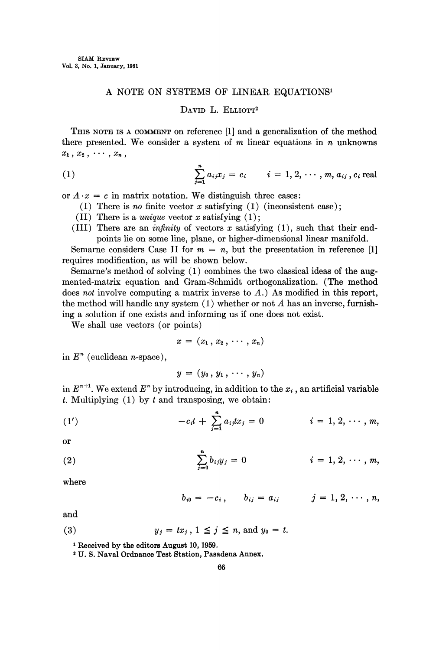## A NOTE ON SYSTEMS OF LINEAR EQUATIONS

## DAVID L. ELLIOTT<sup>2</sup>

THIS NOTE IS A COMMENT ON reference [1] and a generalization of the method there presented. We consider a system of  $m$  linear equations in  $n$  unknowns  $x_1, x_2, \cdots, x_n$ ,

(1) 
$$
\sum_{j=1}^{n} a_{ij} x_j = c_i \qquad i = 1, 2, \cdots, m, a_{ij}, c_i \text{ real}
$$

or  $A \cdot x = c$  in matrix notation. We distinguish three cases:

- (I) There is no finite vector x satisfying  $(1)$  (inconsistent case);
- (II) There is a *unique* vector x satisfying  $(1)$ ;
- (III) There are an *infinity* of vectors  $x$  satisfying  $(1)$ , such that their endpoints lie on some line, plane, or higher-dimensional linear manifold.

Semarne considers Case II for  $m = n$ , but the presentation in reference [1] requires modification, as will be shown below.

Semarne's method of solving  $(1)$  combines the two classical ideas of the augmented-matrix equation and Gram-Schmidt orthogonalization. (The method does not involve computing a matrix inverse to A.) As modified in this report, the method will handle any system  $(1)$  whether or not A has an inverse, furnishing a solution if one exists and informing us if one does not exist.

We shall use vectors (or points)

$$
x = (x_1, x_2, \cdots, x_n)
$$

in  $E<sup>n</sup>$  (euclidean *n*-space),

$$
y=(y_0,y_1,\cdots,y_n)
$$

in  $E^{n+1}$ . We extend  $E^n$  by introducing, in addition to the  $x_i$ , an artificial variable t. Multiplying  $(1)$  by t and transposing, we obtain:

(1') 
$$
-c_i t + \sum_{j=1}^n a_{ij} t x_j = 0 \qquad i = 1, 2, \cdots, m,
$$

or

(2) 
$$
\sum_{j=0}^{n} b_{ij}y_j = 0 \qquad i = 1, 2, \cdots, m,
$$

where

$$
b_{i0} = -c_i, \qquad b_{ij} = a_{ij} \qquad j = 1, 2, \cdots, n,
$$

and

$$
(3) \t y_j = tx_j, 1 \leq j \leq n, \text{ and } y_0 = t.
$$

<sup>1</sup> Received by the editors August 10, 1959.

U. S. Naval Ordnance Test Station, Pasadena Annex.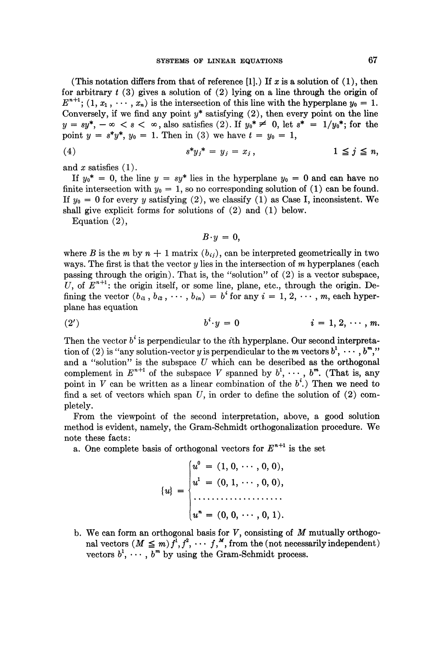(This notation differs from that of reference [1].) If x is a solution of  $(1)$ , then for arbitrary  $t(3)$  gives a solution of  $(2)$  lying on a line through the origin of  $E^{n+1}$ ;  $(1, x_1, \dots, x_n)$  is the intersection of this line with the hyperplane  $y_0 = 1$ . Conversely, if we find any point  $y^*$  satisfying  $(2)$ , then every point on the line  $y = sy^*, -\infty < s < \infty$ , also satisfies (2). If  $y_0^* \neq 0$ , let  $s^* = 1/y_0^*$ ; for the point  $y = s^*y^*$ ,  $y_0 = 1$ . Then in (3) we have  $t = y_0 = 1$ ,

$$
(4) \t s^*y_j^* = y_j = x_j, \t 1 \leq j \leq n,
$$

and  $x$  satisfies  $(1)$ .

If  $y_0^* = 0$ , the line  $y = sy^*$  lies in the hyperplane  $y_0 = 0$  and can have no finite intersection with  $y_0 = 1$ , so no corresponding solution of (1) can be found. If  $y_0 = 0$  for every y satisfying (2), we classify (1) as Case I, inconsistent. We shall give explicit forms for solutions of (2) and (1) below.

Equation (2),

$$
B\cdot y=0,
$$

where B is the m by  $n + 1$  matrix  $(b_{ij})$ , can be interpreted geometrically in two ways. The first is that the vector  $y$  lies in the intersection of  $m$  hyperplanes (each passing through the origin). That is, the "solution" of (2) is a vector subspace, U, of  $E^{n+1}$ : the origin itself, or some line, plane, etc., through the origin. Defining the vector  $(b_{i_1}, b_{i_2}, \cdots, b_{i_n}) = b^i$  for any  $i = 1, 2, \cdots, m$ , each hyperplane has equation

$$
(2') \qquad \qquad b^i \cdot y = 0 \qquad \qquad i = 1, 2, \cdots, m.
$$

Then the vector  $b^i$  is perpendicular to the *i*th hyperplane. Our second interpretation of (2) is "any solution-vector y is perpendicular to the m vectors  $b^1, \cdots, b^m$ " and a "solution" is the subspace  $\overline{U}$  which can be described as the orthogonal complement in  $E^{n+1}$  of the subspace V spanned by  $b^1, \dots, b^m$ . (That is, any point in V can be written as a linear combination of the  $b^i$ .) Then we need to find a set of vectors which span  $U$ , in order to define the solution of  $(2)$  completely.

From the viewpoint of the second interpretation, above, a good solution method is evident, namely, the Gram-Schmidt orthogonalization procedure. We note these facts:

a. One complete basis of orthogonal vectors for  $E^{n+1}$  is the set

$$
\{u\} = \begin{cases} u^0 = (1, 0, \cdots, 0, 0), \\ u^1 = (0, 1, \cdots, 0, 0), \\ \vdots \\ u^n = (0, 0, \cdots, 0, 1). \end{cases}
$$

b. We can form an orthogonal basis for  $V$ , consisting of  $M$  mutually orthogonal vectors  $(M \leq m) f^1, f^2, \cdots, f^M$ , from the (not necessarily independent) vectors  $b^1, \cdots, b^m$  by using the Gram-Schmidt process.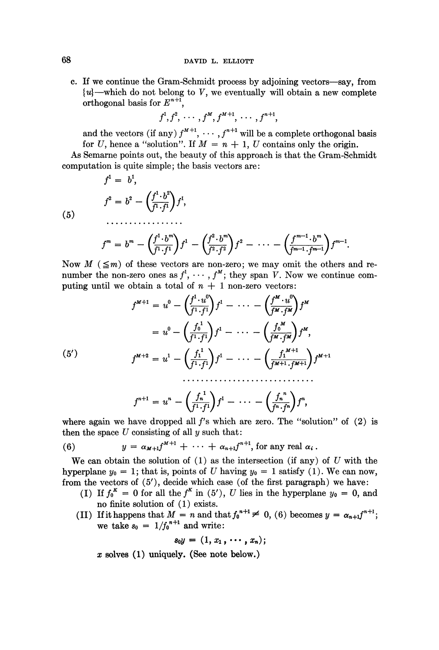c. If we continue the Gram-Schmidt process by adjoining vectors--say, from  ${u}$ —which do not belong to V, we eventually will obtain a new complete orthogonal basis for  $E^{n+1}$ ,

$$
f^1, f^2, \cdots, f^M, f^{M+1}, \cdots, f^{n+1},
$$

and the vectors (if any)  $f^{M+1}$ ,  $\cdots$ ,  $f^{n+1}$  will be a complete orthogonal basis for U, hence a "solution". If  $M = n + 1$ , U contains only the origin.

As Semarne points out, the beauty of this approach is that the Gram-Schmidt computation is quite simple; the basis vectors are:

$$
f1 = b1,
$$
  

$$
f2 = b2 - \left(\frac{f1 \cdot b2}{f1 \cdot f1}\right) f1,
$$
  
............

(5)

$$
f^m = b^m - \left(\frac{f^1 \cdot b^m}{f^1 \cdot f^1}\right) f^1 - \left(\frac{f^2 \cdot b^m}{f^2 \cdot f^2}\right) f^2 - \cdots - \left(\frac{f^{m-1} \cdot b^m}{f^{m-1} \cdot f^{m-1}}\right) f^{m-1}.
$$

Now  $M$  ( $\leq m$ ) of these vectors are non-zero; we may omit the others and renumber the non-zero ones as  $f^1, \cdots, f^M$ ; they span V. Now we continue computing until we obtain a total of  $n + 1$  non-zero vectors:

$$
f^{M+1} = u^0 - \left(\frac{f^1 \cdot u^0}{f^1 \cdot f^1}\right) f^1 - \dots - \left(\frac{f^M \cdot u^0}{f^M \cdot f^M}\right) f^M
$$
  

$$
= u^0 - \left(\frac{f_0^1}{f^1 \cdot f^1}\right) f^1 - \dots - \left(\frac{f_0^M}{f^M \cdot f^M}\right) f^M,
$$
  

$$
(5')
$$
  

$$
f^{M+2} = u^1 - \left(\frac{f_1^1}{f^1 \cdot f^1}\right) f^1 - \dots - \left(\frac{f_1^{M+1}}{f^{M+1} \cdot f^{M+1}}\right) f^{M+1}
$$

$$
f^{n+1} = u^n - \left(\frac{f_n^1}{f^1 \cdot f^1}\right) f^1 - \cdots - \left(\frac{f_n^n}{f^n \cdot f^n}\right) f^n,
$$

where again we have dropped all  $f$ 's which are zero. The "solution" of  $(2)$  is then the space  $U$  consisting of all  $y$  such that:

(6) 
$$
y = \alpha_{M+1} f^{M+1} + \cdots + \alpha_{n+1} f^{n+1}, \text{ for any real } \alpha_i.
$$

We can obtain the solution of  $(1)$  as the intersection (if any) of U with the hyperplane  $y_0 = 1$ ; that is, points of U having  $y_0 = 1$  satisfy (1). We can now, from the vectors of (5), decide which case (of the first paragraph) we have:

- (I) If  $f_0^K = 0$  for all the  $f^K$  in (5'), U lies in the hyperplane  $y_0 = 0$ , and no finite solution of  $(1)$  exists.
- (II) If it happens that  $M = n$  and that  $f_0^{n+1} \neq 0$ , (6) becomes y we take  $s_0 = 1/f_0^{n+1}$  and write:

$$
s_0y=(1,x_1,\cdots,x_n);
$$

 $x$  solves (1) uniquely. (See note below.)